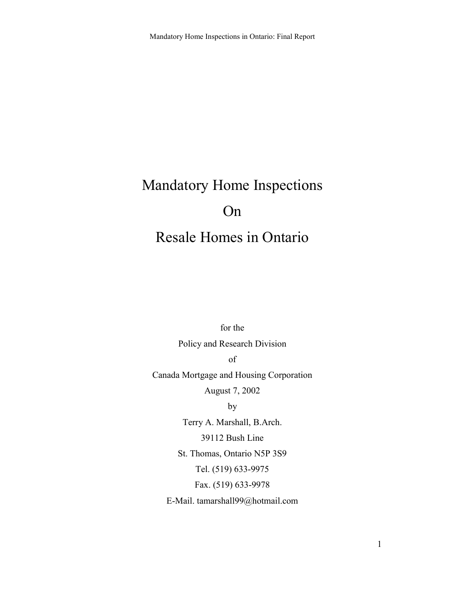# Mandatory Home Inspections On

# Resale Homes in Ontario

for the

Policy and Research Division

of

Canada Mortgage and Housing Corporation

August 7, 2002

by

Terry A. Marshall, B.Arch. 39112 Bush Line St. Thomas, Ontario N5P 3S9 Tel. (519) 633-9975 Fax. (519) 633-9978 E-Mail. tamarshall99@hotmail.com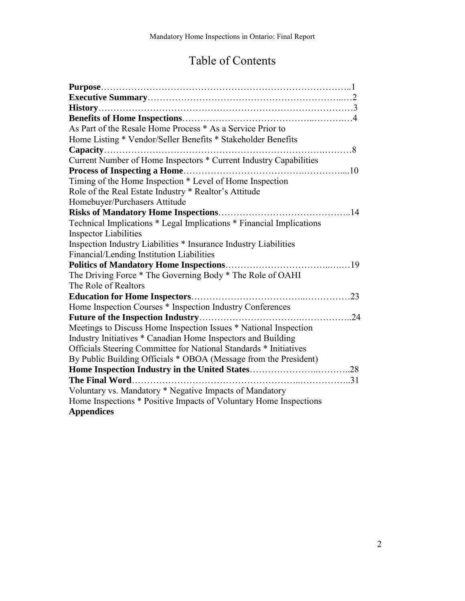# Table of Contents

| As Part of the Resale Home Process * As a Service Prior to           |
|----------------------------------------------------------------------|
| Home Listing * Vendor/Seller Benefits * Stakeholder Benefits         |
|                                                                      |
| Current Number of Home Inspectors * Current Industry Capabilities    |
|                                                                      |
| Timing of the Home Inspection * Level of Home Inspection             |
| Role of the Real Estate Industry * Realtor's Attitude                |
| Homebuyer/Purchasers Attitude                                        |
| . 14                                                                 |
| Technical Implications * Legal Implications * Financial Implications |
| <b>Inspector Liabilities</b>                                         |
| Inspection Industry Liabilities * Insurance Industry Liabilities     |
| Financial/Lending Institution Liabilities                            |
| <b>Politics of Mandatory Home Inspections</b>                        |
| The Driving Force * The Governing Body * The Role of OAHI            |
| The Role of Realtors                                                 |
| .23                                                                  |
| Home Inspection Courses * Inspection Industry Conferences            |
| 24                                                                   |
| Meetings to Discuss Home Inspection Issues * National Inspection     |
| Industry Initiatives * Canadian Home Inspectors and Building         |
| Officials Steering Committee for National Standards * Initiatives    |
| By Public Building Officials * OBOA (Message from the President)     |
|                                                                      |
|                                                                      |
| Voluntary vs. Mandatory * Negative Impacts of Mandatory              |
| Home Inspections * Positive Impacts of Voluntary Home Inspections    |
| <b>Appendices</b>                                                    |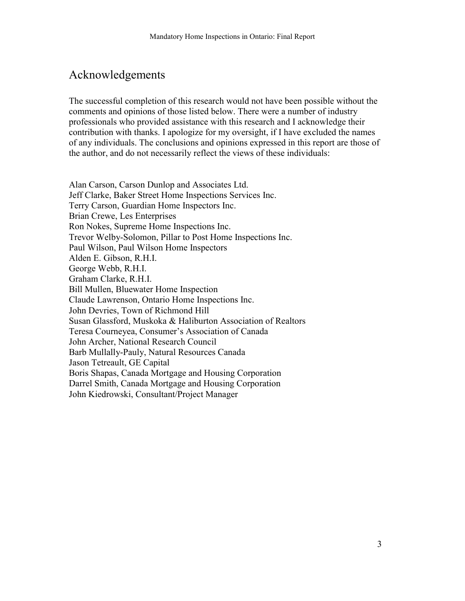# Acknowledgements

The successful completion of this research would not have been possible without the comments and opinions of those listed below. There were a number of industry professionals who provided assistance with this research and I acknowledge their contribution with thanks. I apologize for my oversight, if I have excluded the names of any individuals. The conclusions and opinions expressed in this report are those of the author, and do not necessarily reflect the views of these individuals:

Alan Carson, Carson Dunlop and Associates Ltd. Jeff Clarke, Baker Street Home Inspections Services Inc. Terry Carson, Guardian Home Inspectors Inc. Brian Crewe, Les Enterprises Ron Nokes, Supreme Home Inspections Inc. Trevor Welby-Solomon, Pillar to Post Home Inspections Inc. Paul Wilson, Paul Wilson Home Inspectors Alden E. Gibson, R.H.I. George Webb, R.H.I. Graham Clarke, R.H.I. Bill Mullen, Bluewater Home Inspection Claude Lawrenson, Ontario Home Inspections Inc. John Devries, Town of Richmond Hill Susan Glassford, Muskoka & Haliburton Association of Realtors Teresa Courneyea, Consumer's Association of Canada John Archer, National Research Council Barb Mullally-Pauly, Natural Resources Canada Jason Tetreault, GE Capital Boris Shapas, Canada Mortgage and Housing Corporation Darrel Smith, Canada Mortgage and Housing Corporation John Kiedrowski, Consultant/Project Manager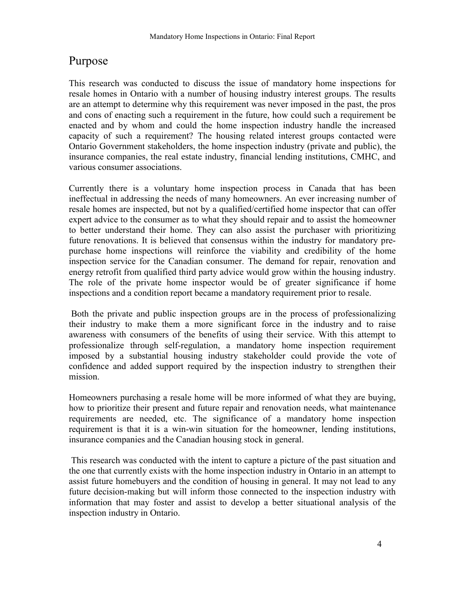# Purpose

This research was conducted to discuss the issue of mandatory home inspections for resale homes in Ontario with a number of housing industry interest groups. The results are an attempt to determine why this requirement was never imposed in the past, the pros and cons of enacting such a requirement in the future, how could such a requirement be enacted and by whom and could the home inspection industry handle the increased capacity of such a requirement? The housing related interest groups contacted were Ontario Government stakeholders, the home inspection industry (private and public), the insurance companies, the real estate industry, financial lending institutions, CMHC, and various consumer associations.

Currently there is a voluntary home inspection process in Canada that has been ineffectual in addressing the needs of many homeowners. An ever increasing number of resale homes are inspected, but not by a qualified/certified home inspector that can offer expert advice to the consumer as to what they should repair and to assist the homeowner to better understand their home. They can also assist the purchaser with prioritizing future renovations. It is believed that consensus within the industry for mandatory prepurchase home inspections will reinforce the viability and credibility of the home inspection service for the Canadian consumer. The demand for repair, renovation and energy retrofit from qualified third party advice would grow within the housing industry. The role of the private home inspector would be of greater significance if home inspections and a condition report became a mandatory requirement prior to resale.

 Both the private and public inspection groups are in the process of professionalizing their industry to make them a more significant force in the industry and to raise awareness with consumers of the benefits of using their service. With this attempt to professionalize through self-regulation, a mandatory home inspection requirement imposed by a substantial housing industry stakeholder could provide the vote of confidence and added support required by the inspection industry to strengthen their mission.

Homeowners purchasing a resale home will be more informed of what they are buying, how to prioritize their present and future repair and renovation needs, what maintenance requirements are needed, etc. The significance of a mandatory home inspection requirement is that it is a win-win situation for the homeowner, lending institutions, insurance companies and the Canadian housing stock in general.

 This research was conducted with the intent to capture a picture of the past situation and the one that currently exists with the home inspection industry in Ontario in an attempt to assist future homebuyers and the condition of housing in general. It may not lead to any future decision-making but will inform those connected to the inspection industry with information that may foster and assist to develop a better situational analysis of the inspection industry in Ontario.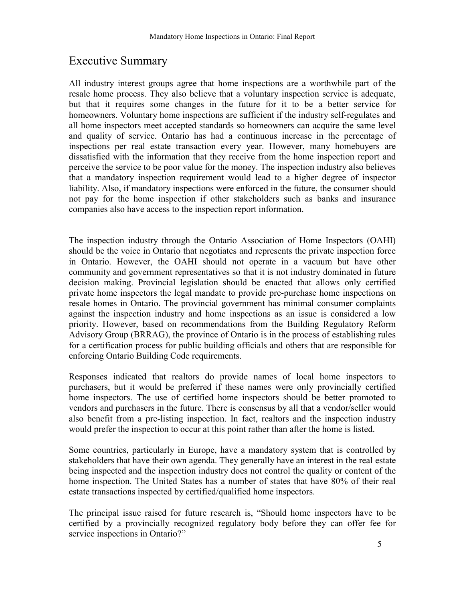# Executive Summary

All industry interest groups agree that home inspections are a worthwhile part of the resale home process. They also believe that a voluntary inspection service is adequate, but that it requires some changes in the future for it to be a better service for homeowners. Voluntary home inspections are sufficient if the industry self-regulates and all home inspectors meet accepted standards so homeowners can acquire the same level and quality of service. Ontario has had a continuous increase in the percentage of inspections per real estate transaction every year. However, many homebuyers are dissatisfied with the information that they receive from the home inspection report and perceive the service to be poor value for the money. The inspection industry also believes that a mandatory inspection requirement would lead to a higher degree of inspector liability. Also, if mandatory inspections were enforced in the future, the consumer should not pay for the home inspection if other stakeholders such as banks and insurance companies also have access to the inspection report information.

The inspection industry through the Ontario Association of Home Inspectors (OAHI) should be the voice in Ontario that negotiates and represents the private inspection force in Ontario. However, the OAHI should not operate in a vacuum but have other community and government representatives so that it is not industry dominated in future decision making. Provincial legislation should be enacted that allows only certified private home inspectors the legal mandate to provide pre-purchase home inspections on resale homes in Ontario. The provincial government has minimal consumer complaints against the inspection industry and home inspections as an issue is considered a low priority. However, based on recommendations from the Building Regulatory Reform Advisory Group (BRRAG), the province of Ontario is in the process of establishing rules for a certification process for public building officials and others that are responsible for enforcing Ontario Building Code requirements.

Responses indicated that realtors do provide names of local home inspectors to purchasers, but it would be preferred if these names were only provincially certified home inspectors. The use of certified home inspectors should be better promoted to vendors and purchasers in the future. There is consensus by all that a vendor/seller would also benefit from a pre-listing inspection. In fact, realtors and the inspection industry would prefer the inspection to occur at this point rather than after the home is listed.

Some countries, particularly in Europe, have a mandatory system that is controlled by stakeholders that have their own agenda. They generally have an interest in the real estate being inspected and the inspection industry does not control the quality or content of the home inspection. The United States has a number of states that have 80% of their real estate transactions inspected by certified/qualified home inspectors.

The principal issue raised for future research is, "Should home inspectors have to be certified by a provincially recognized regulatory body before they can offer fee for service inspections in Ontario?"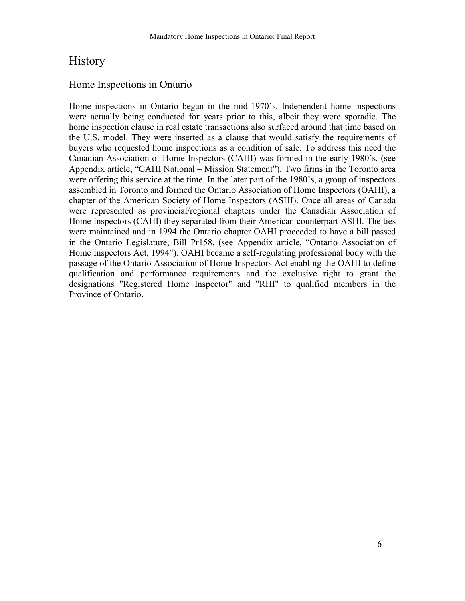### **History**

### Home Inspections in Ontario

Home inspections in Ontario began in the mid-1970's. Independent home inspections were actually being conducted for years prior to this, albeit they were sporadic. The home inspection clause in real estate transactions also surfaced around that time based on the U.S. model. They were inserted as a clause that would satisfy the requirements of buyers who requested home inspections as a condition of sale. To address this need the Canadian Association of Home Inspectors (CAHI) was formed in the early 1980's. (see Appendix article, "CAHI National – Mission Statement"). Two firms in the Toronto area were offering this service at the time. In the later part of the 1980's, a group of inspectors assembled in Toronto and formed the Ontario Association of Home Inspectors (OAHI), a chapter of the American Society of Home Inspectors (ASHI). Once all areas of Canada were represented as provincial/regional chapters under the Canadian Association of Home Inspectors (CAHI) they separated from their American counterpart ASHI. The ties were maintained and in 1994 the Ontario chapter OAHI proceeded to have a bill passed in the Ontario Legislature, Bill Pr158, (see Appendix article, "Ontario Association of Home Inspectors Act, 1994"). OAHI became a self-regulating professional body with the passage of the Ontario Association of Home Inspectors Act enabling the OAHI to define qualification and performance requirements and the exclusive right to grant the designations "Registered Home Inspector" and "RHI" to qualified members in the Province of Ontario.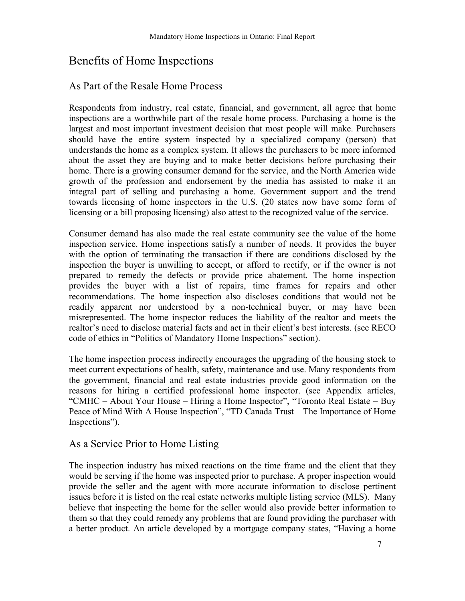# Benefits of Home Inspections

### As Part of the Resale Home Process

Respondents from industry, real estate, financial, and government, all agree that home inspections are a worthwhile part of the resale home process. Purchasing a home is the largest and most important investment decision that most people will make. Purchasers should have the entire system inspected by a specialized company (person) that understands the home as a complex system. It allows the purchasers to be more informed about the asset they are buying and to make better decisions before purchasing their home. There is a growing consumer demand for the service, and the North America wide growth of the profession and endorsement by the media has assisted to make it an integral part of selling and purchasing a home. Government support and the trend towards licensing of home inspectors in the U.S. (20 states now have some form of licensing or a bill proposing licensing) also attest to the recognized value of the service.

Consumer demand has also made the real estate community see the value of the home inspection service. Home inspections satisfy a number of needs. It provides the buyer with the option of terminating the transaction if there are conditions disclosed by the inspection the buyer is unwilling to accept, or afford to rectify, or if the owner is not prepared to remedy the defects or provide price abatement. The home inspection provides the buyer with a list of repairs, time frames for repairs and other recommendations. The home inspection also discloses conditions that would not be readily apparent nor understood by a non-technical buyer, or may have been misrepresented. The home inspector reduces the liability of the realtor and meets the realtor's need to disclose material facts and act in their client's best interests. (see RECO code of ethics in "Politics of Mandatory Home Inspections" section).

The home inspection process indirectly encourages the upgrading of the housing stock to meet current expectations of health, safety, maintenance and use. Many respondents from the government, financial and real estate industries provide good information on the reasons for hiring a certified professional home inspector. (see Appendix articles,  $"CMHC - About Your House - Hiring a Home Inspector", "Toronto Real Estate - Buy"$ Peace of Mind With A House Inspection", "TD Canada Trust – The Importance of Home Inspections").

### As a Service Prior to Home Listing

The inspection industry has mixed reactions on the time frame and the client that they would be serving if the home was inspected prior to purchase. A proper inspection would provide the seller and the agent with more accurate information to disclose pertinent issues before it is listed on the real estate networks multiple listing service (MLS). Many believe that inspecting the home for the seller would also provide better information to them so that they could remedy any problems that are found providing the purchaser with a better product. An article developed by a mortgage company states, "Having a home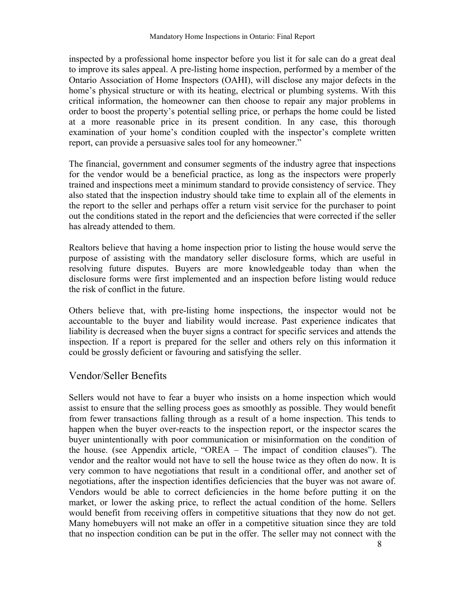inspected by a professional home inspector before you list it for sale can do a great deal to improve its sales appeal. A pre-listing home inspection, performed by a member of the Ontario Association of Home Inspectors (OAHI), will disclose any major defects in the home's physical structure or with its heating, electrical or plumbing systems. With this critical information, the homeowner can then choose to repair any major problems in order to boost the propertyís potential selling price, or perhaps the home could be listed at a more reasonable price in its present condition. In any case, this thorough examination of your home's condition coupled with the inspector's complete written report, can provide a persuasive sales tool for any homeowner.<sup>"</sup>

The financial, government and consumer segments of the industry agree that inspections for the vendor would be a beneficial practice, as long as the inspectors were properly trained and inspections meet a minimum standard to provide consistency of service. They also stated that the inspection industry should take time to explain all of the elements in the report to the seller and perhaps offer a return visit service for the purchaser to point out the conditions stated in the report and the deficiencies that were corrected if the seller has already attended to them.

Realtors believe that having a home inspection prior to listing the house would serve the purpose of assisting with the mandatory seller disclosure forms, which are useful in resolving future disputes. Buyers are more knowledgeable today than when the disclosure forms were first implemented and an inspection before listing would reduce the risk of conflict in the future.

Others believe that, with pre-listing home inspections, the inspector would not be accountable to the buyer and liability would increase. Past experience indicates that liability is decreased when the buyer signs a contract for specific services and attends the inspection. If a report is prepared for the seller and others rely on this information it could be grossly deficient or favouring and satisfying the seller.

### Vendor/Seller Benefits

Sellers would not have to fear a buyer who insists on a home inspection which would assist to ensure that the selling process goes as smoothly as possible. They would benefit from fewer transactions falling through as a result of a home inspection. This tends to happen when the buyer over-reacts to the inspection report, or the inspector scares the buyer unintentionally with poor communication or misinformation on the condition of the house. (see Appendix article,  $OREA - The impact of condition clauses$ ). The vendor and the realtor would not have to sell the house twice as they often do now. It is very common to have negotiations that result in a conditional offer, and another set of negotiations, after the inspection identifies deficiencies that the buyer was not aware of. Vendors would be able to correct deficiencies in the home before putting it on the market, or lower the asking price, to reflect the actual condition of the home. Sellers would benefit from receiving offers in competitive situations that they now do not get. Many homebuyers will not make an offer in a competitive situation since they are told that no inspection condition can be put in the offer. The seller may not connect with the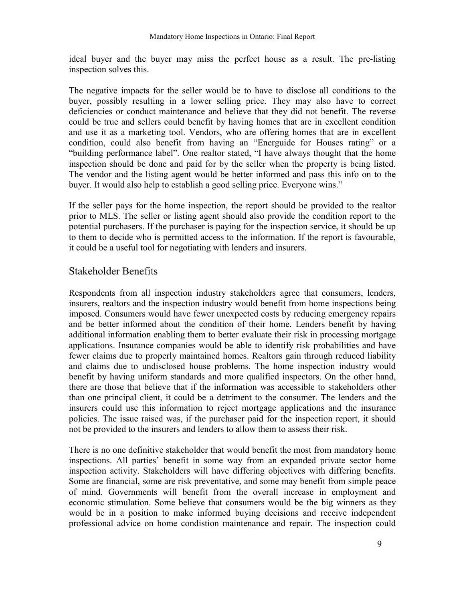ideal buyer and the buyer may miss the perfect house as a result. The pre-listing inspection solves this.

The negative impacts for the seller would be to have to disclose all conditions to the buyer, possibly resulting in a lower selling price. They may also have to correct deficiencies or conduct maintenance and believe that they did not benefit. The reverse could be true and sellers could benefit by having homes that are in excellent condition and use it as a marketing tool. Vendors, who are offering homes that are in excellent condition, could also benefit from having an "Energuide for Houses rating" or a "building performance label". One realtor stated, "I have always thought that the home inspection should be done and paid for by the seller when the property is being listed. The vendor and the listing agent would be better informed and pass this info on to the buyer. It would also help to establish a good selling price. Everyone wins.<sup>77</sup>

If the seller pays for the home inspection, the report should be provided to the realtor prior to MLS. The seller or listing agent should also provide the condition report to the potential purchasers. If the purchaser is paying for the inspection service, it should be up to them to decide who is permitted access to the information. If the report is favourable, it could be a useful tool for negotiating with lenders and insurers.

### Stakeholder Benefits

Respondents from all inspection industry stakeholders agree that consumers, lenders, insurers, realtors and the inspection industry would benefit from home inspections being imposed. Consumers would have fewer unexpected costs by reducing emergency repairs and be better informed about the condition of their home. Lenders benefit by having additional information enabling them to better evaluate their risk in processing mortgage applications. Insurance companies would be able to identify risk probabilities and have fewer claims due to properly maintained homes. Realtors gain through reduced liability and claims due to undisclosed house problems. The home inspection industry would benefit by having uniform standards and more qualified inspectors. On the other hand, there are those that believe that if the information was accessible to stakeholders other than one principal client, it could be a detriment to the consumer. The lenders and the insurers could use this information to reject mortgage applications and the insurance policies. The issue raised was, if the purchaser paid for the inspection report, it should not be provided to the insurers and lenders to allow them to assess their risk.

There is no one definitive stakeholder that would benefit the most from mandatory home inspections. All parties' benefit in some way from an expanded private sector home inspection activity. Stakeholders will have differing objectives with differing benefits. Some are financial, some are risk preventative, and some may benefit from simple peace of mind. Governments will benefit from the overall increase in employment and economic stimulation. Some believe that consumers would be the big winners as they would be in a position to make informed buying decisions and receive independent professional advice on home condistion maintenance and repair. The inspection could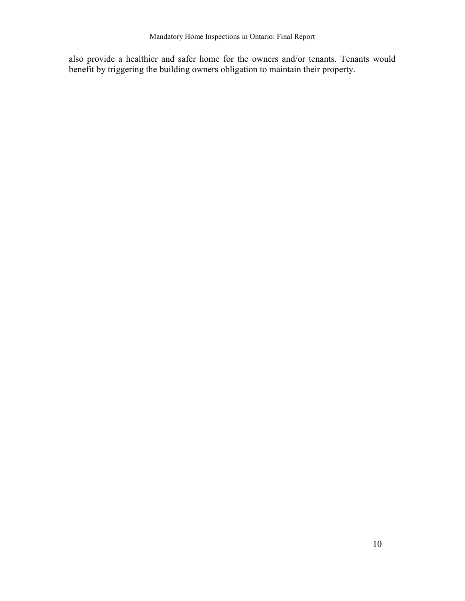also provide a healthier and safer home for the owners and/or tenants. Tenants would benefit by triggering the building owners obligation to maintain their property.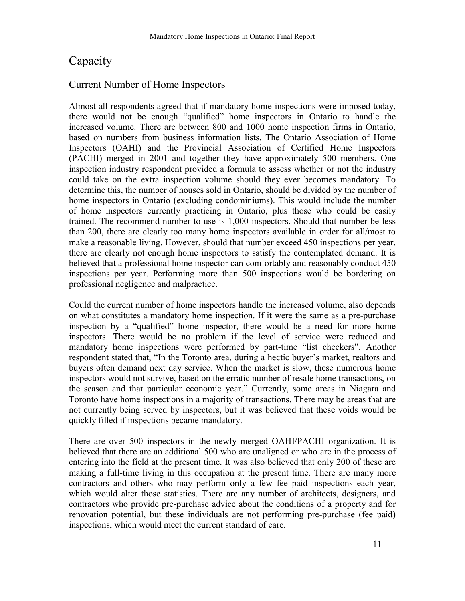# **Capacity**

### Current Number of Home Inspectors

Almost all respondents agreed that if mandatory home inspections were imposed today, there would not be enough "qualified" home inspectors in Ontario to handle the increased volume. There are between 800 and 1000 home inspection firms in Ontario, based on numbers from business information lists. The Ontario Association of Home Inspectors (OAHI) and the Provincial Association of Certified Home Inspectors (PACHI) merged in 2001 and together they have approximately 500 members. One inspection industry respondent provided a formula to assess whether or not the industry could take on the extra inspection volume should they ever becomes mandatory. To determine this, the number of houses sold in Ontario, should be divided by the number of home inspectors in Ontario (excluding condominiums). This would include the number of home inspectors currently practicing in Ontario, plus those who could be easily trained. The recommend number to use is 1,000 inspectors. Should that number be less than 200, there are clearly too many home inspectors available in order for all/most to make a reasonable living. However, should that number exceed 450 inspections per year, there are clearly not enough home inspectors to satisfy the contemplated demand. It is believed that a professional home inspector can comfortably and reasonably conduct 450 inspections per year. Performing more than 500 inspections would be bordering on professional negligence and malpractice.

Could the current number of home inspectors handle the increased volume, also depends on what constitutes a mandatory home inspection. If it were the same as a pre-purchase inspection by a "qualified" home inspector, there would be a need for more home inspectors. There would be no problem if the level of service were reduced and mandatory home inspections were performed by part-time "list checkers". Another respondent stated that, "In the Toronto area, during a hectic buyer's market, realtors and buyers often demand next day service. When the market is slow, these numerous home inspectors would not survive, based on the erratic number of resale home transactions, on the season and that particular economic year." Currently, some areas in Niagara and Toronto have home inspections in a majority of transactions. There may be areas that are not currently being served by inspectors, but it was believed that these voids would be quickly filled if inspections became mandatory.

There are over 500 inspectors in the newly merged OAHI/PACHI organization. It is believed that there are an additional 500 who are unaligned or who are in the process of entering into the field at the present time. It was also believed that only 200 of these are making a full-time living in this occupation at the present time. There are many more contractors and others who may perform only a few fee paid inspections each year, which would alter those statistics. There are any number of architects, designers, and contractors who provide pre-purchase advice about the conditions of a property and for renovation potential, but these individuals are not performing pre-purchase (fee paid) inspections, which would meet the current standard of care.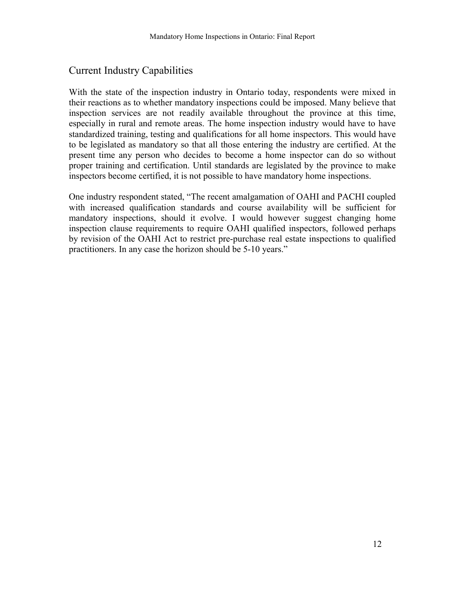### Current Industry Capabilities

With the state of the inspection industry in Ontario today, respondents were mixed in their reactions as to whether mandatory inspections could be imposed. Many believe that inspection services are not readily available throughout the province at this time, especially in rural and remote areas. The home inspection industry would have to have standardized training, testing and qualifications for all home inspectors. This would have to be legislated as mandatory so that all those entering the industry are certified. At the present time any person who decides to become a home inspector can do so without proper training and certification. Until standards are legislated by the province to make inspectors become certified, it is not possible to have mandatory home inspections.

One industry respondent stated, "The recent amalgamation of OAHI and PACHI coupled with increased qualification standards and course availability will be sufficient for mandatory inspections, should it evolve. I would however suggest changing home inspection clause requirements to require OAHI qualified inspectors, followed perhaps by revision of the OAHI Act to restrict pre-purchase real estate inspections to qualified practitioners. In any case the horizon should be 5-10 years."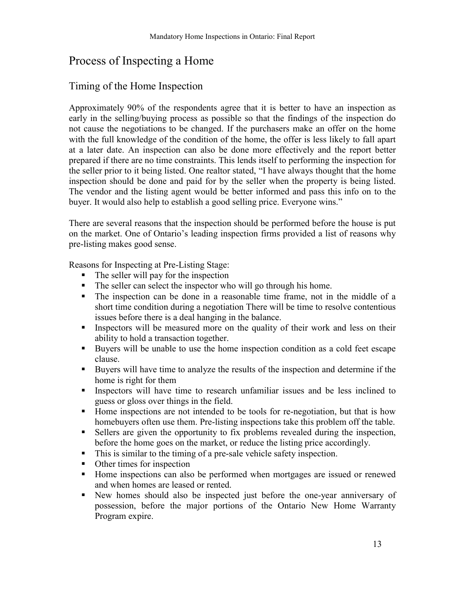# Process of Inspecting a Home

### Timing of the Home Inspection

Approximately 90% of the respondents agree that it is better to have an inspection as early in the selling/buying process as possible so that the findings of the inspection do not cause the negotiations to be changed. If the purchasers make an offer on the home with the full knowledge of the condition of the home, the offer is less likely to fall apart at a later date. An inspection can also be done more effectively and the report better prepared if there are no time constraints. This lends itself to performing the inspection for the seller prior to it being listed. One realtor stated, "I have always thought that the home inspection should be done and paid for by the seller when the property is being listed. The vendor and the listing agent would be better informed and pass this info on to the buyer. It would also help to establish a good selling price. Everyone wins.<sup>7</sup>

There are several reasons that the inspection should be performed before the house is put on the market. One of Ontario's leading inspection firms provided a list of reasons why pre-listing makes good sense.

Reasons for Inspecting at Pre-Listing Stage:

- ! The seller will pay for the inspection
- ! The seller can select the inspector who will go through his home.
- ! The inspection can be done in a reasonable time frame, not in the middle of a short time condition during a negotiation There will be time to resolve contentious issues before there is a deal hanging in the balance.
- ! Inspectors will be measured more on the quality of their work and less on their ability to hold a transaction together.
- ! Buyers will be unable to use the home inspection condition as a cold feet escape clause.
- ! Buyers will have time to analyze the results of the inspection and determine if the home is right for them
- ! Inspectors will have time to research unfamiliar issues and be less inclined to guess or gloss over things in the field.
- ! Home inspections are not intended to be tools for re-negotiation, but that is how homebuyers often use them. Pre-listing inspections take this problem off the table.
- ! Sellers are given the opportunity to fix problems revealed during the inspection, before the home goes on the market, or reduce the listing price accordingly.
- ! This is similar to the timing of a pre-sale vehicle safety inspection.
- Other times for inspection
- ! Home inspections can also be performed when mortgages are issued or renewed and when homes are leased or rented.
- ! New homes should also be inspected just before the one-year anniversary of possession, before the major portions of the Ontario New Home Warranty Program expire.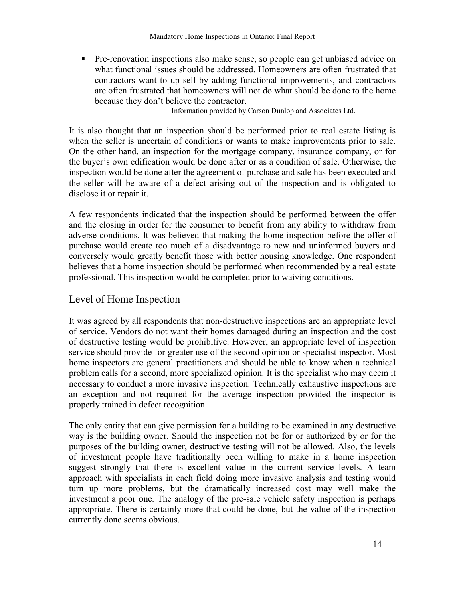! Pre-renovation inspections also make sense, so people can get unbiased advice on what functional issues should be addressed. Homeowners are often frustrated that contractors want to up sell by adding functional improvements, and contractors are often frustrated that homeowners will not do what should be done to the home because they don't believe the contractor.

Information provided by Carson Dunlop and Associates Ltd.

It is also thought that an inspection should be performed prior to real estate listing is when the seller is uncertain of conditions or wants to make improvements prior to sale. On the other hand, an inspection for the mortgage company, insurance company, or for the buyer's own edification would be done after or as a condition of sale. Otherwise, the inspection would be done after the agreement of purchase and sale has been executed and the seller will be aware of a defect arising out of the inspection and is obligated to disclose it or repair it.

A few respondents indicated that the inspection should be performed between the offer and the closing in order for the consumer to benefit from any ability to withdraw from adverse conditions. It was believed that making the home inspection before the offer of purchase would create too much of a disadvantage to new and uninformed buyers and conversely would greatly benefit those with better housing knowledge. One respondent believes that a home inspection should be performed when recommended by a real estate professional. This inspection would be completed prior to waiving conditions.

### Level of Home Inspection

It was agreed by all respondents that non-destructive inspections are an appropriate level of service. Vendors do not want their homes damaged during an inspection and the cost of destructive testing would be prohibitive. However, an appropriate level of inspection service should provide for greater use of the second opinion or specialist inspector. Most home inspectors are general practitioners and should be able to know when a technical problem calls for a second, more specialized opinion. It is the specialist who may deem it necessary to conduct a more invasive inspection. Technically exhaustive inspections are an exception and not required for the average inspection provided the inspector is properly trained in defect recognition.

The only entity that can give permission for a building to be examined in any destructive way is the building owner. Should the inspection not be for or authorized by or for the purposes of the building owner, destructive testing will not be allowed. Also, the levels of investment people have traditionally been willing to make in a home inspection suggest strongly that there is excellent value in the current service levels. A team approach with specialists in each field doing more invasive analysis and testing would turn up more problems, but the dramatically increased cost may well make the investment a poor one. The analogy of the pre-sale vehicle safety inspection is perhaps appropriate. There is certainly more that could be done, but the value of the inspection currently done seems obvious.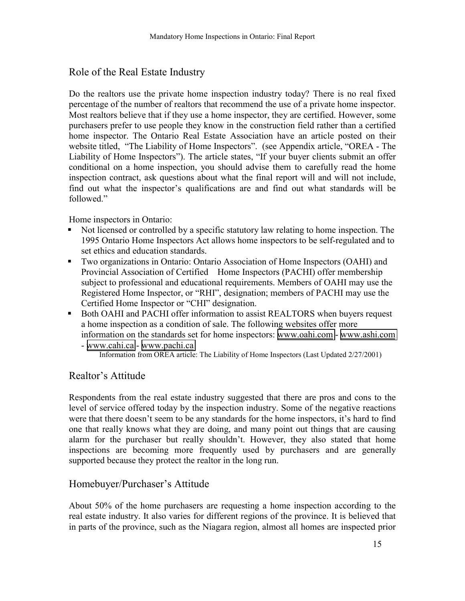### Role of the Real Estate Industry

Do the realtors use the private home inspection industry today? There is no real fixed percentage of the number of realtors that recommend the use of a private home inspector. Most realtors believe that if they use a home inspector, they are certified. However, some purchasers prefer to use people they know in the construction field rather than a certified home inspector. The Ontario Real Estate Association have an article posted on their website titled, "The Liability of Home Inspectors". (see Appendix article, "OREA - The Liability of Home Inspectors"). The article states, "If your buyer clients submit an offer conditional on a home inspection, you should advise them to carefully read the home inspection contract, ask questions about what the final report will and will not include, find out what the inspector's qualifications are and find out what standards will be followed."

Home inspectors in Ontario:

- ! Not licensed or controlled by a specific statutory law relating to home inspection. The 1995 Ontario Home Inspectors Act allows home inspectors to be self-regulated and to set ethics and education standards.
- ! Two organizations in Ontario: Ontario Association of Home Inspectors (OAHI) and Provincial Association of Certified Home Inspectors (PACHI) offer membership subject to professional and educational requirements. Members of OAHI may use the Registered Home Inspector, or "RHI", designation; members of PACHI may use the Certified Home Inspector or "CHI" designation.
- ! Both OAHI and PACHI offer information to assist REALTORS when buyers request a home inspection as a condition of sale. The following websites offer more information on the standards set for home inspectors: [www.oahi.com](http://www.oahi.com/) - [www.ashi.com](http://www.ashi.com/)

### Realtor's Attitude

Respondents from the real estate industry suggested that there are pros and cons to the level of service offered today by the inspection industry. Some of the negative reactions were that there doesn't seem to be any standards for the home inspectors, it's hard to find one that really knows what they are doing, and many point out things that are causing alarm for the purchaser but really shouldn't. However, they also stated that home inspections are becoming more frequently used by purchasers and are generally supported because they protect the realtor in the long run.

### Homebuyer/Purchaser's Attitude

About 50% of the home purchasers are requesting a home inspection according to the real estate industry. It also varies for different regions of the province. It is believed that in parts of the province, such as the Niagara region, almost all homes are inspected prior

<sup>-</sup> [www.cahi.ca](http://www.cahi.ca/) - [www.pachi.ca](http://www.pachi.ca/) Information from OREA article: The Liability of Home Inspectors (Last Updated 2/27/2001)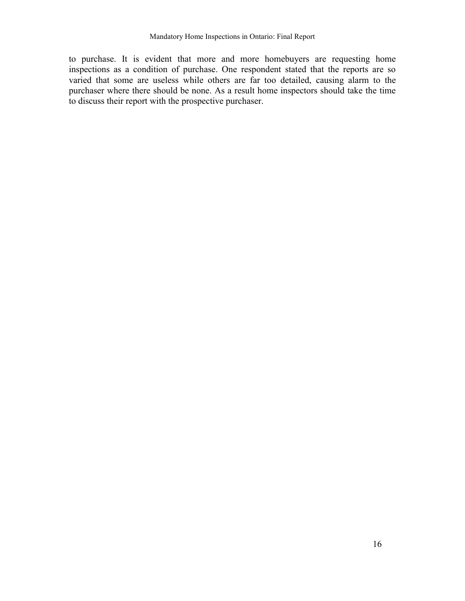to purchase. It is evident that more and more homebuyers are requesting home inspections as a condition of purchase. One respondent stated that the reports are so varied that some are useless while others are far too detailed, causing alarm to the purchaser where there should be none. As a result home inspectors should take the time to discuss their report with the prospective purchaser.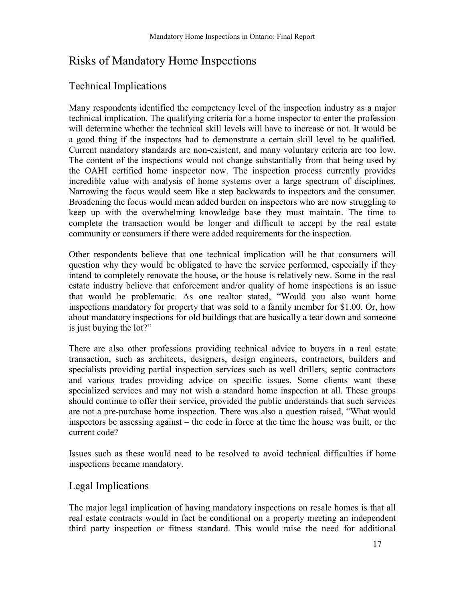# Risks of Mandatory Home Inspections

### Technical Implications

Many respondents identified the competency level of the inspection industry as a major technical implication. The qualifying criteria for a home inspector to enter the profession will determine whether the technical skill levels will have to increase or not. It would be a good thing if the inspectors had to demonstrate a certain skill level to be qualified. Current mandatory standards are non-existent, and many voluntary criteria are too low. The content of the inspections would not change substantially from that being used by the OAHI certified home inspector now. The inspection process currently provides incredible value with analysis of home systems over a large spectrum of disciplines. Narrowing the focus would seem like a step backwards to inspectors and the consumer. Broadening the focus would mean added burden on inspectors who are now struggling to keep up with the overwhelming knowledge base they must maintain. The time to complete the transaction would be longer and difficult to accept by the real estate community or consumers if there were added requirements for the inspection.

Other respondents believe that one technical implication will be that consumers will question why they would be obligated to have the service performed, especially if they intend to completely renovate the house, or the house is relatively new. Some in the real estate industry believe that enforcement and/or quality of home inspections is an issue that would be problematic. As one realtor stated, "Would you also want home inspections mandatory for property that was sold to a family member for \$1.00. Or, how about mandatory inspections for old buildings that are basically a tear down and someone is just buying the lot?"

There are also other professions providing technical advice to buyers in a real estate transaction, such as architects, designers, design engineers, contractors, builders and specialists providing partial inspection services such as well drillers, septic contractors and various trades providing advice on specific issues. Some clients want these specialized services and may not wish a standard home inspection at all. These groups should continue to offer their service, provided the public understands that such services are not a pre-purchase home inspection. There was also a question raised, "What would inspectors be assessing against  $-$  the code in force at the time the house was built, or the current code?

Issues such as these would need to be resolved to avoid technical difficulties if home inspections became mandatory.

### Legal Implications

The major legal implication of having mandatory inspections on resale homes is that all real estate contracts would in fact be conditional on a property meeting an independent third party inspection or fitness standard. This would raise the need for additional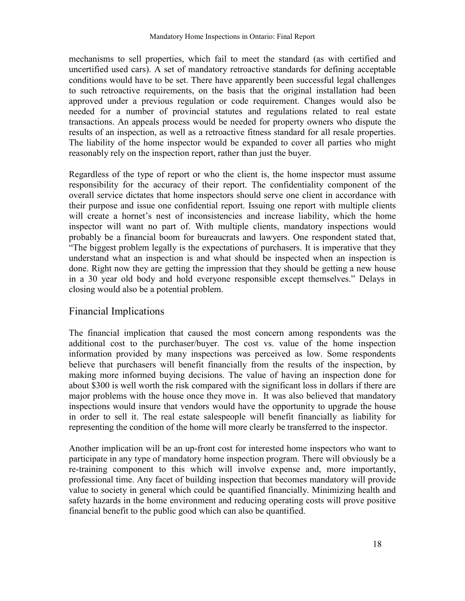mechanisms to sell properties, which fail to meet the standard (as with certified and uncertified used cars). A set of mandatory retroactive standards for defining acceptable conditions would have to be set. There have apparently been successful legal challenges to such retroactive requirements, on the basis that the original installation had been approved under a previous regulation or code requirement. Changes would also be needed for a number of provincial statutes and regulations related to real estate transactions. An appeals process would be needed for property owners who dispute the results of an inspection, as well as a retroactive fitness standard for all resale properties. The liability of the home inspector would be expanded to cover all parties who might reasonably rely on the inspection report, rather than just the buyer.

Regardless of the type of report or who the client is, the home inspector must assume responsibility for the accuracy of their report. The confidentiality component of the overall service dictates that home inspectors should serve one client in accordance with their purpose and issue one confidential report. Issuing one report with multiple clients will create a hornet's nest of inconsistencies and increase liability, which the home inspector will want no part of. With multiple clients, mandatory inspections would probably be a financial boom for bureaucrats and lawyers. One respondent stated that, ìThe biggest problem legally is the expectations of purchasers. It is imperative that they understand what an inspection is and what should be inspected when an inspection is done. Right now they are getting the impression that they should be getting a new house in a 30 year old body and hold everyone responsible except themselves." Delays in closing would also be a potential problem.

### Financial Implications

The financial implication that caused the most concern among respondents was the additional cost to the purchaser/buyer. The cost vs. value of the home inspection information provided by many inspections was perceived as low. Some respondents believe that purchasers will benefit financially from the results of the inspection, by making more informed buying decisions. The value of having an inspection done for about \$300 is well worth the risk compared with the significant loss in dollars if there are major problems with the house once they move in. It was also believed that mandatory inspections would insure that vendors would have the opportunity to upgrade the house in order to sell it. The real estate salespeople will benefit financially as liability for representing the condition of the home will more clearly be transferred to the inspector.

Another implication will be an up-front cost for interested home inspectors who want to participate in any type of mandatory home inspection program. There will obviously be a re-training component to this which will involve expense and, more importantly, professional time. Any facet of building inspection that becomes mandatory will provide value to society in general which could be quantified financially. Minimizing health and safety hazards in the home environment and reducing operating costs will prove positive financial benefit to the public good which can also be quantified.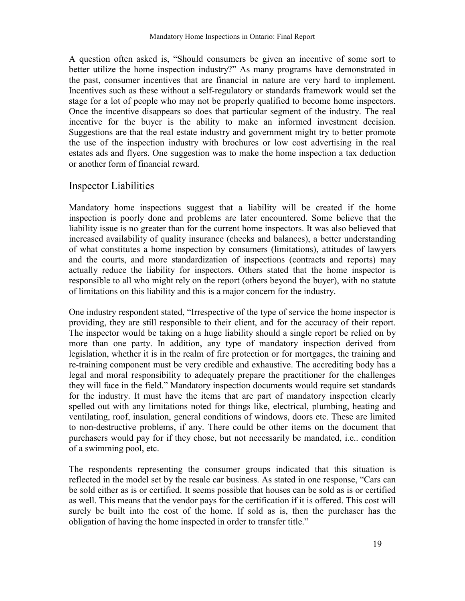A question often asked is, "Should consumers be given an incentive of some sort to better utilize the home inspection industry?" As many programs have demonstrated in the past, consumer incentives that are financial in nature are very hard to implement. Incentives such as these without a self-regulatory or standards framework would set the stage for a lot of people who may not be properly qualified to become home inspectors. Once the incentive disappears so does that particular segment of the industry. The real incentive for the buyer is the ability to make an informed investment decision. Suggestions are that the real estate industry and government might try to better promote the use of the inspection industry with brochures or low cost advertising in the real estates ads and flyers. One suggestion was to make the home inspection a tax deduction or another form of financial reward.

### Inspector Liabilities

Mandatory home inspections suggest that a liability will be created if the home inspection is poorly done and problems are later encountered. Some believe that the liability issue is no greater than for the current home inspectors. It was also believed that increased availability of quality insurance (checks and balances), a better understanding of what constitutes a home inspection by consumers (limitations), attitudes of lawyers and the courts, and more standardization of inspections (contracts and reports) may actually reduce the liability for inspectors. Others stated that the home inspector is responsible to all who might rely on the report (others beyond the buyer), with no statute of limitations on this liability and this is a major concern for the industry.

One industry respondent stated, "Irrespective of the type of service the home inspector is providing, they are still responsible to their client, and for the accuracy of their report. The inspector would be taking on a huge liability should a single report be relied on by more than one party. In addition, any type of mandatory inspection derived from legislation, whether it is in the realm of fire protection or for mortgages, the training and re-training component must be very credible and exhaustive. The accrediting body has a legal and moral responsibility to adequately prepare the practitioner for the challenges they will face in the field." Mandatory inspection documents would require set standards for the industry. It must have the items that are part of mandatory inspection clearly spelled out with any limitations noted for things like, electrical, plumbing, heating and ventilating, roof, insulation, general conditions of windows, doors etc. These are limited to non-destructive problems, if any. There could be other items on the document that purchasers would pay for if they chose, but not necessarily be mandated, i.e.. condition of a swimming pool, etc.

The respondents representing the consumer groups indicated that this situation is reflected in the model set by the resale car business. As stated in one response, "Cars can be sold either as is or certified. It seems possible that houses can be sold as is or certified as well. This means that the vendor pays for the certification if it is offered. This cost will surely be built into the cost of the home. If sold as is, then the purchaser has the obligation of having the home inspected in order to transfer title."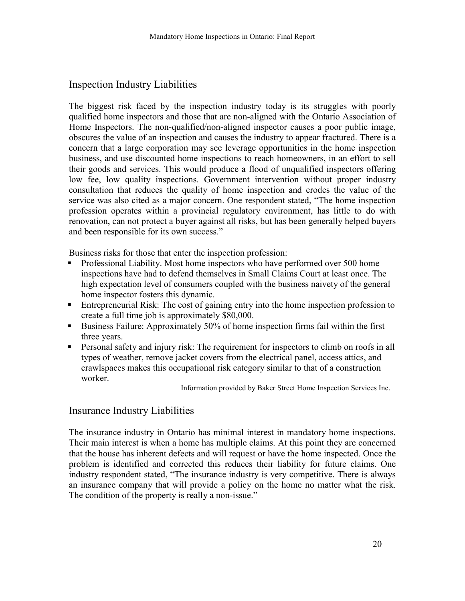### Inspection Industry Liabilities

The biggest risk faced by the inspection industry today is its struggles with poorly qualified home inspectors and those that are non-aligned with the Ontario Association of Home Inspectors. The non-qualified/non-aligned inspector causes a poor public image, obscures the value of an inspection and causes the industry to appear fractured. There is a concern that a large corporation may see leverage opportunities in the home inspection business, and use discounted home inspections to reach homeowners, in an effort to sell their goods and services. This would produce a flood of unqualified inspectors offering low fee, low quality inspections. Government intervention without proper industry consultation that reduces the quality of home inspection and erodes the value of the service was also cited as a major concern. One respondent stated, "The home inspection profession operates within a provincial regulatory environment, has little to do with renovation, can not protect a buyer against all risks, but has been generally helped buyers and been responsible for its own success."

Business risks for those that enter the inspection profession:

- ! Professional Liability. Most home inspectors who have performed over 500 home inspections have had to defend themselves in Small Claims Court at least once. The high expectation level of consumers coupled with the business naivety of the general home inspector fosters this dynamic.
- ! Entrepreneurial Risk: The cost of gaining entry into the home inspection profession to create a full time job is approximately \$80,000.
- ! Business Failure: Approximately 50% of home inspection firms fail within the first three years.
- ! Personal safety and injury risk: The requirement for inspectors to climb on roofs in all types of weather, remove jacket covers from the electrical panel, access attics, and crawlspaces makes this occupational risk category similar to that of a construction worker.

Information provided by Baker Street Home Inspection Services Inc.

### Insurance Industry Liabilities

The insurance industry in Ontario has minimal interest in mandatory home inspections. Their main interest is when a home has multiple claims. At this point they are concerned that the house has inherent defects and will request or have the home inspected. Once the problem is identified and corrected this reduces their liability for future claims. One industry respondent stated, "The insurance industry is very competitive. There is always an insurance company that will provide a policy on the home no matter what the risk. The condition of the property is really a non-issue."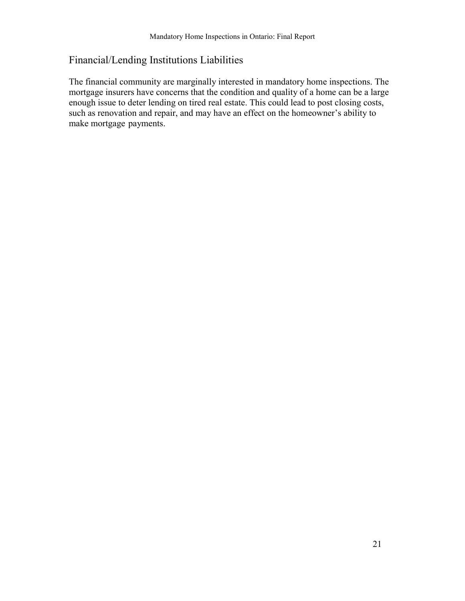### Financial/Lending Institutions Liabilities

The financial community are marginally interested in mandatory home inspections. The mortgage insurers have concerns that the condition and quality of a home can be a large enough issue to deter lending on tired real estate. This could lead to post closing costs, such as renovation and repair, and may have an effect on the homeowner's ability to make mortgage payments.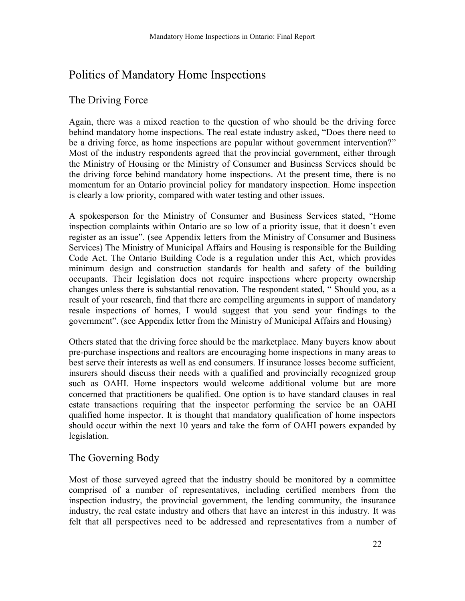# Politics of Mandatory Home Inspections

### The Driving Force

Again, there was a mixed reaction to the question of who should be the driving force behind mandatory home inspections. The real estate industry asked, "Does there need to be a driving force, as home inspections are popular without government intervention?" Most of the industry respondents agreed that the provincial government, either through the Ministry of Housing or the Ministry of Consumer and Business Services should be the driving force behind mandatory home inspections. At the present time, there is no momentum for an Ontario provincial policy for mandatory inspection. Home inspection is clearly a low priority, compared with water testing and other issues.

A spokesperson for the Ministry of Consumer and Business Services stated, "Home inspection complaints within Ontario are so low of a priority issue, that it doesn't even register as an issue". (see Appendix letters from the Ministry of Consumer and Business Services) The Ministry of Municipal Affairs and Housing is responsible for the Building Code Act. The Ontario Building Code is a regulation under this Act, which provides minimum design and construction standards for health and safety of the building occupants. Their legislation does not require inspections where property ownership changes unless there is substantial renovation. The respondent stated, "Should you, as a result of your research, find that there are compelling arguments in support of mandatory resale inspections of homes, I would suggest that you send your findings to the government". (see Appendix letter from the Ministry of Municipal Affairs and Housing)

Others stated that the driving force should be the marketplace. Many buyers know about pre-purchase inspections and realtors are encouraging home inspections in many areas to best serve their interests as well as end consumers. If insurance losses become sufficient, insurers should discuss their needs with a qualified and provincially recognized group such as OAHI. Home inspectors would welcome additional volume but are more concerned that practitioners be qualified. One option is to have standard clauses in real estate transactions requiring that the inspector performing the service be an OAHI qualified home inspector. It is thought that mandatory qualification of home inspectors should occur within the next 10 years and take the form of OAHI powers expanded by legislation.

### The Governing Body

Most of those surveyed agreed that the industry should be monitored by a committee comprised of a number of representatives, including certified members from the inspection industry, the provincial government, the lending community, the insurance industry, the real estate industry and others that have an interest in this industry. It was felt that all perspectives need to be addressed and representatives from a number of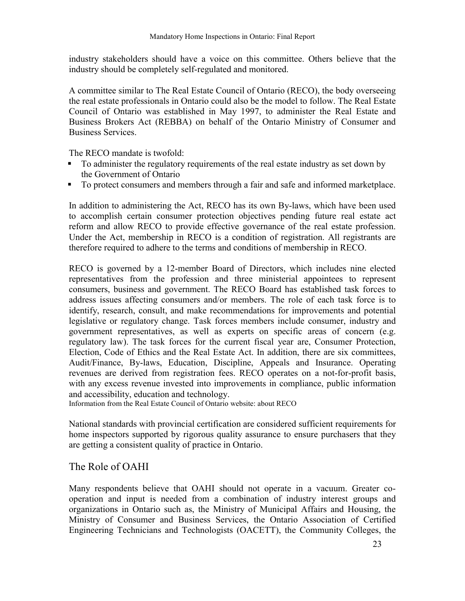industry stakeholders should have a voice on this committee. Others believe that the industry should be completely self-regulated and monitored.

A committee similar to The Real Estate Council of Ontario (RECO), the body overseeing the real estate professionals in Ontario could also be the model to follow. The Real Estate Council of Ontario was established in May 1997, to administer the Real Estate and Business Brokers Act (REBBA) on behalf of the Ontario Ministry of Consumer and Business Services.

The RECO mandate is twofold:

- To administer the regulatory requirements of the real estate industry as set down by the Government of Ontario
- ! To protect consumers and members through a fair and safe and informed marketplace.

In addition to administering the Act, RECO has its own By-laws, which have been used to accomplish certain consumer protection objectives pending future real estate act reform and allow RECO to provide effective governance of the real estate profession. Under the Act, membership in RECO is a condition of registration. All registrants are therefore required to adhere to the terms and conditions of membership in RECO.

RECO is governed by a 12-member Board of Directors, which includes nine elected representatives from the profession and three ministerial appointees to represent consumers, business and government. The RECO Board has established task forces to address issues affecting consumers and/or members. The role of each task force is to identify, research, consult, and make recommendations for improvements and potential legislative or regulatory change. Task forces members include consumer, industry and government representatives, as well as experts on specific areas of concern (e.g. regulatory law). The task forces for the current fiscal year are, Consumer Protection, Election, Code of Ethics and the Real Estate Act. In addition, there are six committees, Audit/Finance, By-laws, Education, Discipline, Appeals and Insurance. Operating revenues are derived from registration fees. RECO operates on a not-for-profit basis, with any excess revenue invested into improvements in compliance, public information and accessibility, education and technology.

Information from the Real Estate Council of Ontario website: about RECO

National standards with provincial certification are considered sufficient requirements for home inspectors supported by rigorous quality assurance to ensure purchasers that they are getting a consistent quality of practice in Ontario.

### The Role of OAHI

Many respondents believe that OAHI should not operate in a vacuum. Greater cooperation and input is needed from a combination of industry interest groups and organizations in Ontario such as, the Ministry of Municipal Affairs and Housing, the Ministry of Consumer and Business Services, the Ontario Association of Certified Engineering Technicians and Technologists (OACETT), the Community Colleges, the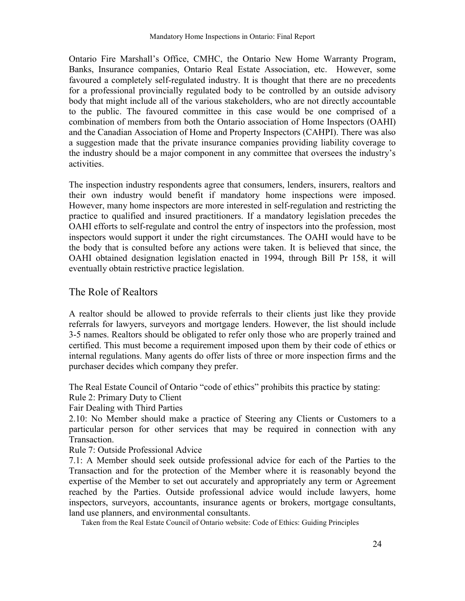Ontario Fire Marshall's Office, CMHC, the Ontario New Home Warranty Program, Banks, Insurance companies, Ontario Real Estate Association, etc. However, some favoured a completely self-regulated industry. It is thought that there are no precedents for a professional provincially regulated body to be controlled by an outside advisory body that might include all of the various stakeholders, who are not directly accountable to the public. The favoured committee in this case would be one comprised of a combination of members from both the Ontario association of Home Inspectors (OAHI) and the Canadian Association of Home and Property Inspectors (CAHPI). There was also a suggestion made that the private insurance companies providing liability coverage to the industry should be a major component in any committee that oversees the industryís activities.

The inspection industry respondents agree that consumers, lenders, insurers, realtors and their own industry would benefit if mandatory home inspections were imposed. However, many home inspectors are more interested in self-regulation and restricting the practice to qualified and insured practitioners. If a mandatory legislation precedes the OAHI efforts to self-regulate and control the entry of inspectors into the profession, most inspectors would support it under the right circumstances. The OAHI would have to be the body that is consulted before any actions were taken. It is believed that since, the OAHI obtained designation legislation enacted in 1994, through Bill Pr 158, it will eventually obtain restrictive practice legislation.

### The Role of Realtors

A realtor should be allowed to provide referrals to their clients just like they provide referrals for lawyers, surveyors and mortgage lenders. However, the list should include 3-5 names. Realtors should be obligated to refer only those who are properly trained and certified. This must become a requirement imposed upon them by their code of ethics or internal regulations. Many agents do offer lists of three or more inspection firms and the purchaser decides which company they prefer.

The Real Estate Council of Ontario "code of ethics" prohibits this practice by stating:

Rule 2: Primary Duty to Client

Fair Dealing with Third Parties

2.10: No Member should make a practice of Steering any Clients or Customers to a particular person for other services that may be required in connection with any Transaction.

Rule 7: Outside Professional Advice

7.1: A Member should seek outside professional advice for each of the Parties to the Transaction and for the protection of the Member where it is reasonably beyond the expertise of the Member to set out accurately and appropriately any term or Agreement reached by the Parties. Outside professional advice would include lawyers, home inspectors, surveyors, accountants, insurance agents or brokers, mortgage consultants, land use planners, and environmental consultants.

Taken from the Real Estate Council of Ontario website: Code of Ethics: Guiding Principles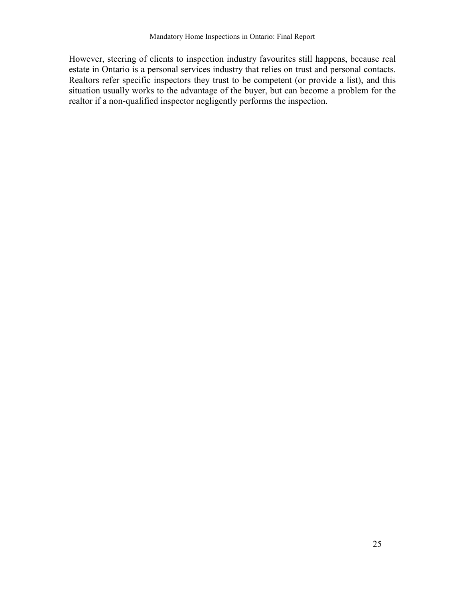However, steering of clients to inspection industry favourites still happens, because real estate in Ontario is a personal services industry that relies on trust and personal contacts. Realtors refer specific inspectors they trust to be competent (or provide a list), and this situation usually works to the advantage of the buyer, but can become a problem for the realtor if a non-qualified inspector negligently performs the inspection.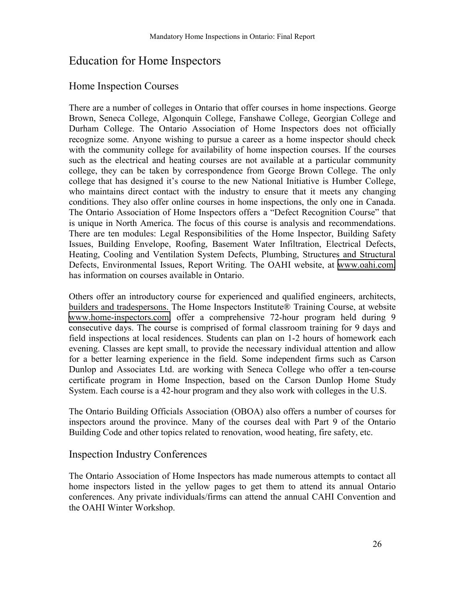# Education for Home Inspectors

### Home Inspection Courses

There are a number of colleges in Ontario that offer courses in home inspections. George Brown, Seneca College, Algonquin College, Fanshawe College, Georgian College and Durham College. The Ontario Association of Home Inspectors does not officially recognize some. Anyone wishing to pursue a career as a home inspector should check with the community college for availability of home inspection courses. If the courses such as the electrical and heating courses are not available at a particular community college, they can be taken by correspondence from George Brown College. The only college that has designed it's course to the new National Initiative is Humber College, who maintains direct contact with the industry to ensure that it meets any changing conditions. They also offer online courses in home inspections, the only one in Canada. The Ontario Association of Home Inspectors offers a "Defect Recognition Course" that is unique in North America. The focus of this course is analysis and recommendations. There are ten modules: Legal Responsibilities of the Home Inspector, Building Safety Issues, Building Envelope, Roofing, Basement Water Infiltration, Electrical Defects, Heating, Cooling and Ventilation System Defects, Plumbing, Structures and Structural Defects, Environmental Issues, Report Writing. The OAHI website, at [www.oahi.com,](http://www.oahi.com/) has information on courses available in Ontario.

Others offer an introductory course for experienced and qualified engineers, architects, builders and tradespersons. The Home Inspectors Institute® Training Course, at website [www.home-inspectors.com,](http://www.home-inspectors.com/) offer a comprehensive 72-hour program held during 9 consecutive days. The course is comprised of formal classroom training for 9 days and field inspections at local residences. Students can plan on 1-2 hours of homework each evening. Classes are kept small, to provide the necessary individual attention and allow for a better learning experience in the field. Some independent firms such as Carson Dunlop and Associates Ltd. are working with Seneca College who offer a ten-course certificate program in Home Inspection, based on the Carson Dunlop Home Study System. Each course is a 42-hour program and they also work with colleges in the U.S.

The Ontario Building Officials Association (OBOA) also offers a number of courses for inspectors around the province. Many of the courses deal with Part 9 of the Ontario Building Code and other topics related to renovation, wood heating, fire safety, etc.

### Inspection Industry Conferences

The Ontario Association of Home Inspectors has made numerous attempts to contact all home inspectors listed in the yellow pages to get them to attend its annual Ontario conferences. Any private individuals/firms can attend the annual CAHI Convention and the OAHI Winter Workshop.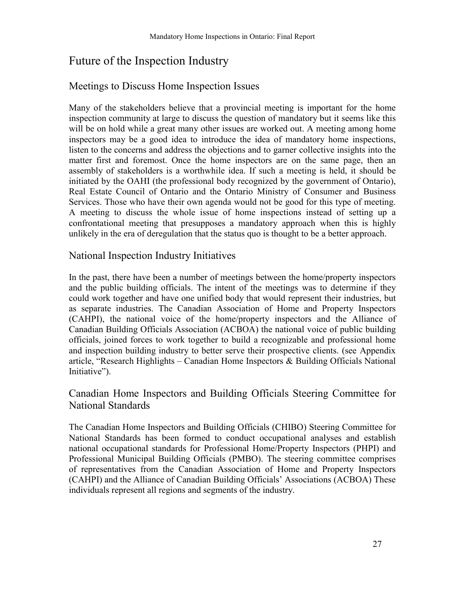# Future of the Inspection Industry

### Meetings to Discuss Home Inspection Issues

Many of the stakeholders believe that a provincial meeting is important for the home inspection community at large to discuss the question of mandatory but it seems like this will be on hold while a great many other issues are worked out. A meeting among home inspectors may be a good idea to introduce the idea of mandatory home inspections, listen to the concerns and address the objections and to garner collective insights into the matter first and foremost. Once the home inspectors are on the same page, then an assembly of stakeholders is a worthwhile idea. If such a meeting is held, it should be initiated by the OAHI (the professional body recognized by the government of Ontario), Real Estate Council of Ontario and the Ontario Ministry of Consumer and Business Services. Those who have their own agenda would not be good for this type of meeting. A meeting to discuss the whole issue of home inspections instead of setting up a confrontational meeting that presupposes a mandatory approach when this is highly unlikely in the era of deregulation that the status quo is thought to be a better approach.

### National Inspection Industry Initiatives

In the past, there have been a number of meetings between the home/property inspectors and the public building officials. The intent of the meetings was to determine if they could work together and have one unified body that would represent their industries, but as separate industries. The Canadian Association of Home and Property Inspectors (CAHPI), the national voice of the home/property inspectors and the Alliance of Canadian Building Officials Association (ACBOA) the national voice of public building officials, joined forces to work together to build a recognizable and professional home and inspection building industry to better serve their prospective clients. (see Appendix article, "Research Highlights – Canadian Home Inspectors  $\&$  Building Officials National Initiative").

### Canadian Home Inspectors and Building Officials Steering Committee for National Standards

The Canadian Home Inspectors and Building Officials (CHIBO) Steering Committee for National Standards has been formed to conduct occupational analyses and establish national occupational standards for Professional Home/Property Inspectors (PHPI) and Professional Municipal Building Officials (PMBO). The steering committee comprises of representatives from the Canadian Association of Home and Property Inspectors (CAHPI) and the Alliance of Canadian Building Officials' Associations (ACBOA) These individuals represent all regions and segments of the industry.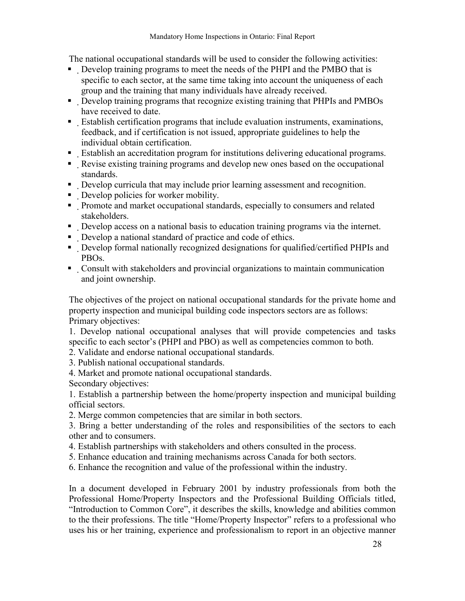The national occupational standards will be used to consider the following activities:

- ! Develop training programs to meet the needs of the PHPI and the PMBO that is specific to each sector, at the same time taking into account the uniqueness of each group and the training that many individuals have already received.
- ! Develop training programs that recognize existing training that PHPIs and PMBOs have received to date.
- ! Establish certification programs that include evaluation instruments, examinations, feedback, and if certification is not issued, appropriate guidelines to help the individual obtain certification.
- ! Establish an accreditation program for institutions delivering educational programs.
- ! Revise existing training programs and develop new ones based on the occupational standards.
- ! Develop curricula that may include prior learning assessment and recognition.
- ! Develop policies for worker mobility.
- ! Promote and market occupational standards, especially to consumers and related stakeholders.
- ! Develop access on a national basis to education training programs via the internet.
- ! Develop a national standard of practice and code of ethics.
- ! Develop formal nationally recognized designations for qualified/certified PHPIs and PBOs.
- ! Consult with stakeholders and provincial organizations to maintain communication and joint ownership.

The objectives of the project on national occupational standards for the private home and property inspection and municipal building code inspectors sectors are as follows: Primary objectives:

1. Develop national occupational analyses that will provide competencies and tasks specific to each sector's (PHPI and PBO) as well as competencies common to both.

- 2. Validate and endorse national occupational standards.
- 3. Publish national occupational standards.
- 4. Market and promote national occupational standards.

Secondary objectives:

1. Establish a partnership between the home/property inspection and municipal building official sectors.

2. Merge common competencies that are similar in both sectors.

3. Bring a better understanding of the roles and responsibilities of the sectors to each other and to consumers.

- 4. Establish partnerships with stakeholders and others consulted in the process.
- 5. Enhance education and training mechanisms across Canada for both sectors.
- 6. Enhance the recognition and value of the professional within the industry.

In a document developed in February 2001 by industry professionals from both the Professional Home/Property Inspectors and the Professional Building Officials titled, "Introduction to Common Core", it describes the skills, knowledge and abilities common to the their professions. The title "Home/Property Inspector" refers to a professional who uses his or her training, experience and professionalism to report in an objective manner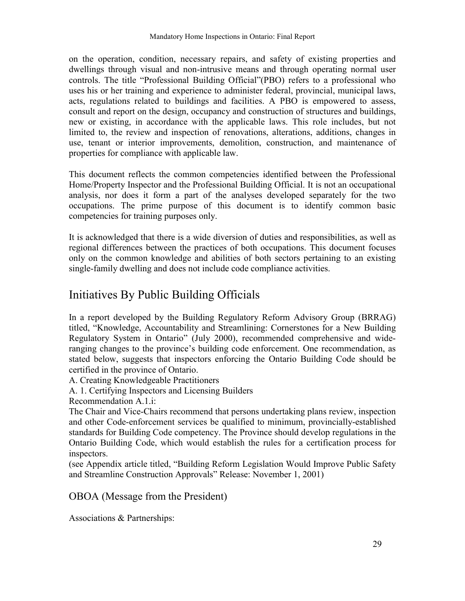on the operation, condition, necessary repairs, and safety of existing properties and dwellings through visual and non-intrusive means and through operating normal user controls. The title "Professional Building Official"(PBO) refers to a professional who uses his or her training and experience to administer federal, provincial, municipal laws, acts, regulations related to buildings and facilities. A PBO is empowered to assess, consult and report on the design, occupancy and construction of structures and buildings, new or existing, in accordance with the applicable laws. This role includes, but not limited to, the review and inspection of renovations, alterations, additions, changes in use, tenant or interior improvements, demolition, construction, and maintenance of properties for compliance with applicable law.

This document reflects the common competencies identified between the Professional Home/Property Inspector and the Professional Building Official. It is not an occupational analysis, nor does it form a part of the analyses developed separately for the two occupations. The prime purpose of this document is to identify common basic competencies for training purposes only.

It is acknowledged that there is a wide diversion of duties and responsibilities, as well as regional differences between the practices of both occupations. This document focuses only on the common knowledge and abilities of both sectors pertaining to an existing single-family dwelling and does not include code compliance activities.

# Initiatives By Public Building Officials

In a report developed by the Building Regulatory Reform Advisory Group (BRRAG) titled, "Knowledge, Accountability and Streamlining: Cornerstones for a New Building Regulatory System in Ontario" (July 2000), recommended comprehensive and wideranging changes to the province's building code enforcement. One recommendation, as stated below, suggests that inspectors enforcing the Ontario Building Code should be certified in the province of Ontario.

- A. Creating Knowledgeable Practitioners
- A. 1. Certifying Inspectors and Licensing Builders

Recommendation A.1.i:

The Chair and Vice-Chairs recommend that persons undertaking plans review, inspection and other Code-enforcement services be qualified to minimum, provincially-established standards for Building Code competency. The Province should develop regulations in the Ontario Building Code, which would establish the rules for a certification process for inspectors.

(see Appendix article titled, "Building Reform Legislation Would Improve Public Safety and Streamline Construction Approvals" Release: November 1, 2001)

OBOA (Message from the President)

Associations & Partnerships: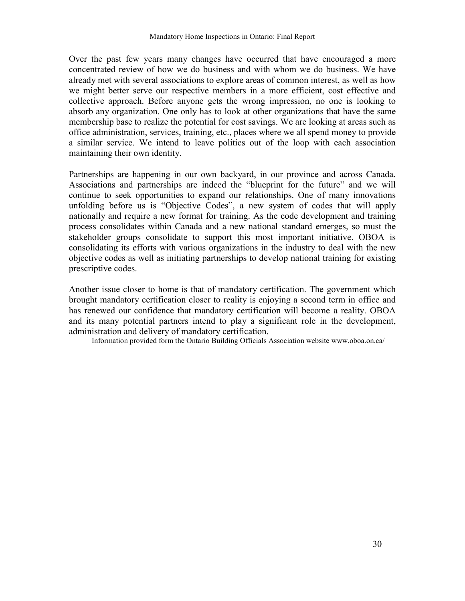Over the past few years many changes have occurred that have encouraged a more concentrated review of how we do business and with whom we do business. We have already met with several associations to explore areas of common interest, as well as how we might better serve our respective members in a more efficient, cost effective and collective approach. Before anyone gets the wrong impression, no one is looking to absorb any organization. One only has to look at other organizations that have the same membership base to realize the potential for cost savings. We are looking at areas such as office administration, services, training, etc., places where we all spend money to provide a similar service. We intend to leave politics out of the loop with each association maintaining their own identity.

Partnerships are happening in our own backyard, in our province and across Canada. Associations and partnerships are indeed the "blueprint for the future" and we will continue to seek opportunities to expand our relationships. One of many innovations unfolding before us is "Objective Codes", a new system of codes that will apply nationally and require a new format for training. As the code development and training process consolidates within Canada and a new national standard emerges, so must the stakeholder groups consolidate to support this most important initiative. OBOA is consolidating its efforts with various organizations in the industry to deal with the new objective codes as well as initiating partnerships to develop national training for existing prescriptive codes.

Another issue closer to home is that of mandatory certification. The government which brought mandatory certification closer to reality is enjoying a second term in office and has renewed our confidence that mandatory certification will become a reality. OBOA and its many potential partners intend to play a significant role in the development, administration and delivery of mandatory certification.

Information provided form the Ontario Building Officials Association website www.oboa.on.ca/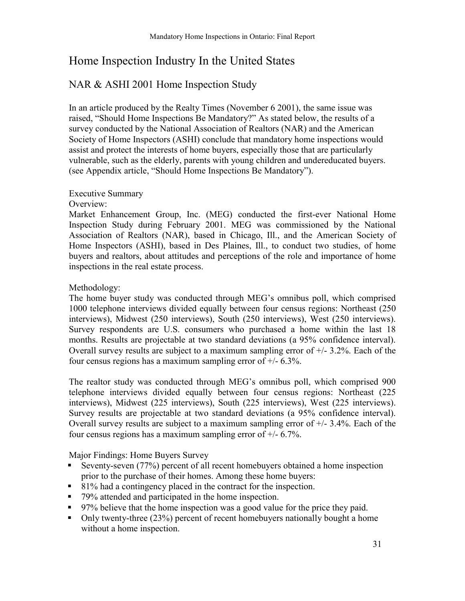# Home Inspection Industry In the United States

### NAR & ASHI 2001 Home Inspection Study

In an article produced by the Realty Times (November 6 2001), the same issue was raised, "Should Home Inspections Be Mandatory?" As stated below, the results of a survey conducted by the National Association of Realtors (NAR) and the American Society of Home Inspectors (ASHI) conclude that mandatory home inspections would assist and protect the interests of home buyers, especially those that are particularly vulnerable, such as the elderly, parents with young children and undereducated buyers. (see Appendix article, "Should Home Inspections Be Mandatory").

### Executive Summary

#### Overview:

Market Enhancement Group, Inc. (MEG) conducted the first-ever National Home Inspection Study during February 2001. MEG was commissioned by the National Association of Realtors (NAR), based in Chicago, Ill., and the American Society of Home Inspectors (ASHI), based in Des Plaines, Ill., to conduct two studies, of home buyers and realtors, about attitudes and perceptions of the role and importance of home inspections in the real estate process.

### Methodology:

The home buyer study was conducted through MEG's omnibus poll, which comprised 1000 telephone interviews divided equally between four census regions: Northeast (250 interviews), Midwest (250 interviews), South (250 interviews), West (250 interviews). Survey respondents are U.S. consumers who purchased a home within the last 18 months. Results are projectable at two standard deviations (a 95% confidence interval). Overall survey results are subject to a maximum sampling error of  $+/- 3.2\%$ . Each of the four census regions has a maximum sampling error of  $+/$ - 6.3%.

The realtor study was conducted through MEGís omnibus poll, which comprised 900 telephone interviews divided equally between four census regions: Northeast (225 interviews), Midwest (225 interviews), South (225 interviews), West (225 interviews). Survey results are projectable at two standard deviations (a 95% confidence interval). Overall survey results are subject to a maximum sampling error of  $+/- 3.4\%$ . Each of the four census regions has a maximum sampling error of +/- 6.7%.

Major Findings: Home Buyers Survey

- Seventy-seven (77%) percent of all recent homebuyers obtained a home inspection prior to the purchase of their homes. Among these home buyers:
- ! 81% had a contingency placed in the contract for the inspection.
- 79% attended and participated in the home inspection.
- ! 97% believe that the home inspection was a good value for the price they paid.
- $\blacksquare$  Only twenty-three (23%) percent of recent homebuyers nationally bought a home without a home inspection.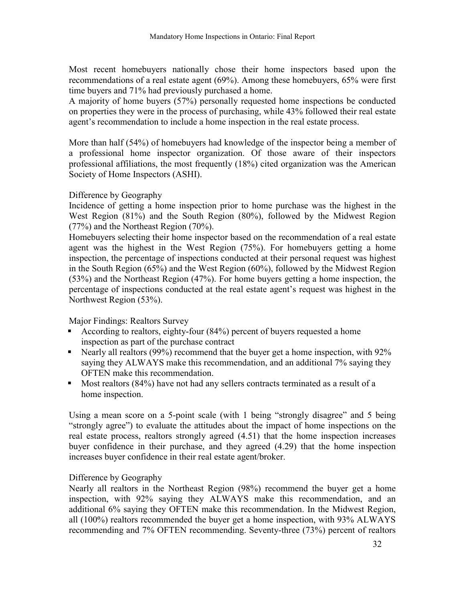Most recent homebuyers nationally chose their home inspectors based upon the recommendations of a real estate agent (69%). Among these homebuyers, 65% were first time buyers and 71% had previously purchased a home.

A majority of home buyers (57%) personally requested home inspections be conducted on properties they were in the process of purchasing, while 43% followed their real estate agent's recommendation to include a home inspection in the real estate process.

More than half (54%) of homebuyers had knowledge of the inspector being a member of a professional home inspector organization. Of those aware of their inspectors professional affiliations, the most frequently (18%) cited organization was the American Society of Home Inspectors (ASHI).

#### Difference by Geography

Incidence of getting a home inspection prior to home purchase was the highest in the West Region (81%) and the South Region (80%), followed by the Midwest Region (77%) and the Northeast Region (70%).

Homebuyers selecting their home inspector based on the recommendation of a real estate agent was the highest in the West Region (75%). For homebuyers getting a home inspection, the percentage of inspections conducted at their personal request was highest in the South Region (65%) and the West Region (60%), followed by the Midwest Region (53%) and the Northeast Region (47%). For home buyers getting a home inspection, the percentage of inspections conducted at the real estate agent's request was highest in the Northwest Region (53%).

Major Findings: Realtors Survey

- E According to realtors, eighty-four  $(84%)$  percent of buyers requested a home inspection as part of the purchase contract
- Nearly all realtors (99%) recommend that the buyer get a home inspection, with 92% saying they ALWAYS make this recommendation, and an additional 7% saying they OFTEN make this recommendation.
- ! Most realtors (84%) have not had any sellers contracts terminated as a result of a home inspection.

Using a mean score on a 5-point scale (with  $1$  being "strongly disagree" and  $5$  being "strongly agree") to evaluate the attitudes about the impact of home inspections on the real estate process, realtors strongly agreed (4.51) that the home inspection increases buyer confidence in their purchase, and they agreed (4.29) that the home inspection increases buyer confidence in their real estate agent/broker.

### Difference by Geography

Nearly all realtors in the Northeast Region (98%) recommend the buyer get a home inspection, with 92% saying they ALWAYS make this recommendation, and an additional 6% saying they OFTEN make this recommendation. In the Midwest Region, all (100%) realtors recommended the buyer get a home inspection, with 93% ALWAYS recommending and 7% OFTEN recommending. Seventy-three (73%) percent of realtors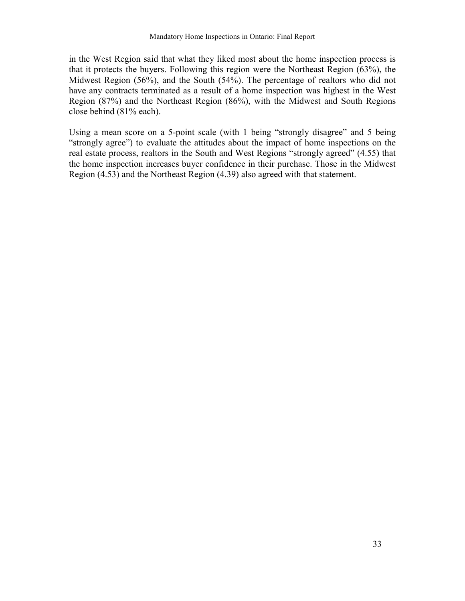in the West Region said that what they liked most about the home inspection process is that it protects the buyers. Following this region were the Northeast Region (63%), the Midwest Region (56%), and the South (54%). The percentage of realtors who did not have any contracts terminated as a result of a home inspection was highest in the West Region (87%) and the Northeast Region (86%), with the Midwest and South Regions close behind (81% each).

Using a mean score on a 5-point scale (with  $1$  being "strongly disagree" and  $5$  being "strongly agree") to evaluate the attitudes about the impact of home inspections on the real estate process, realtors in the South and West Regions "strongly agreed" (4.55) that the home inspection increases buyer confidence in their purchase. Those in the Midwest Region (4.53) and the Northeast Region (4.39) also agreed with that statement.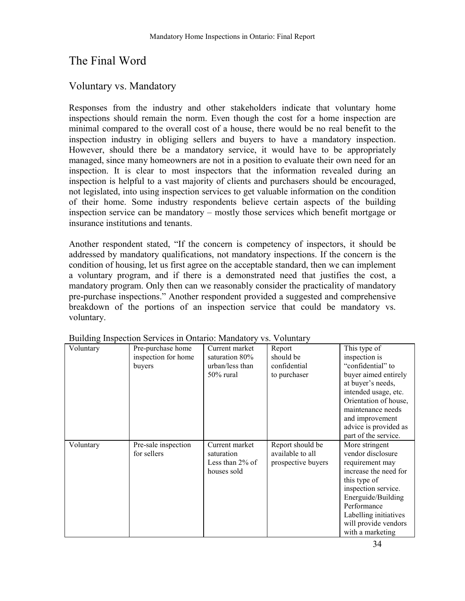# The Final Word

### Voluntary vs. Mandatory

Responses from the industry and other stakeholders indicate that voluntary home inspections should remain the norm. Even though the cost for a home inspection are minimal compared to the overall cost of a house, there would be no real benefit to the inspection industry in obliging sellers and buyers to have a mandatory inspection. However, should there be a mandatory service, it would have to be appropriately managed, since many homeowners are not in a position to evaluate their own need for an inspection. It is clear to most inspectors that the information revealed during an inspection is helpful to a vast majority of clients and purchasers should be encouraged, not legislated, into using inspection services to get valuable information on the condition of their home. Some industry respondents believe certain aspects of the building inspection service can be mandatory  $-$  mostly those services which benefit mortgage or insurance institutions and tenants.

Another respondent stated, "If the concern is competency of inspectors, it should be addressed by mandatory qualifications, not mandatory inspections. If the concern is the condition of housing, let us first agree on the acceptable standard, then we can implement a voluntary program, and if there is a demonstrated need that justifies the cost, a mandatory program. Only then can we reasonably consider the practicality of mandatory pre-purchase inspections." Another respondent provided a suggested and comprehensive breakdown of the portions of an inspection service that could be mandatory vs. voluntary.

| Voluntary | Pre-purchase home   | Current market     | Report             | This type of          |
|-----------|---------------------|--------------------|--------------------|-----------------------|
|           | inspection for home | saturation 80%     | should be          | inspection is         |
|           | buyers              | urban/less than    | confidential       | "confidential" to     |
|           |                     | $50\%$ rural       | to purchaser       | buyer aimed entirely  |
|           |                     |                    |                    | at buyer's needs,     |
|           |                     |                    |                    | intended usage, etc.  |
|           |                     |                    |                    | Orientation of house, |
|           |                     |                    |                    | maintenance needs     |
|           |                     |                    |                    | and improvement       |
|           |                     |                    |                    | advice is provided as |
|           |                     |                    |                    | part of the service.  |
| Voluntary | Pre-sale inspection | Current market     | Report should be   | More stringent        |
|           | for sellers         | saturation         | available to all   | vendor disclosure     |
|           |                     | Less than $2\%$ of | prospective buyers | requirement may       |
|           |                     | houses sold        |                    | increase the need for |
|           |                     |                    |                    | this type of          |
|           |                     |                    |                    | inspection service.   |
|           |                     |                    |                    | Energuide/Building    |
|           |                     |                    |                    | Performance           |
|           |                     |                    |                    | Labelling initiatives |
|           |                     |                    |                    | will provide vendors  |
|           |                     |                    |                    | with a marketing      |

Building Inspection Services in Ontario: Mandatory vs. Voluntary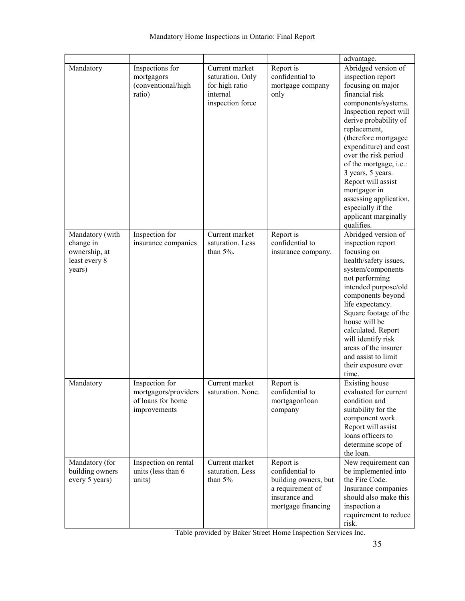|                                                                          |                                                                             |                                                                                          |                                                                                                                 | advantage.                                                                                                                                                                                                                                                                                                                                                                                                                   |
|--------------------------------------------------------------------------|-----------------------------------------------------------------------------|------------------------------------------------------------------------------------------|-----------------------------------------------------------------------------------------------------------------|------------------------------------------------------------------------------------------------------------------------------------------------------------------------------------------------------------------------------------------------------------------------------------------------------------------------------------------------------------------------------------------------------------------------------|
| Mandatory                                                                | Inspections for<br>mortgagors<br>(conventional/high<br>ratio)               | Current market<br>saturation. Only<br>for high ratio $-$<br>internal<br>inspection force | Report is<br>confidential to<br>mortgage company<br>only                                                        | Abridged version of<br>inspection report<br>focusing on major<br>financial risk<br>components/systems.<br>Inspection report will<br>derive probability of<br>replacement,<br>(therefore mortgagee<br>expenditure) and cost<br>over the risk period<br>of the mortgage, i.e.:<br>3 years, 5 years.<br>Report will assist<br>mortgagor in<br>assessing application,<br>especially if the<br>applicant marginally<br>qualifies. |
| Mandatory (with<br>change in<br>ownership, at<br>least every 8<br>years) | Inspection for<br>insurance companies                                       | Current market<br>saturation. Less<br>than $5\%$ .                                       | Report is<br>confidential to<br>insurance company.                                                              | Abridged version of<br>inspection report<br>focusing on<br>health/safety issues,<br>system/components<br>not performing<br>intended purpose/old<br>components beyond<br>life expectancy.<br>Square footage of the<br>house will be<br>calculated. Report<br>will identify risk<br>areas of the insurer<br>and assist to limit<br>their exposure over<br>time.                                                                |
| Mandatory                                                                | Inspection for<br>mortgagors/providers<br>of loans for home<br>improvements | Current market<br>saturation. None.                                                      | Report is<br>confidential to<br>mortgagor/loan<br>company                                                       | Existing house<br>evaluated for current<br>condition and<br>suitability for the<br>component work.<br>Report will assist<br>loans officers to<br>determine scope of<br>the loan.                                                                                                                                                                                                                                             |
| Mandatory (for<br>building owners<br>every 5 years)                      | Inspection on rental<br>units (less than 6<br>units)                        | Current market<br>saturation. Less<br>than $5%$                                          | Report is<br>confidential to<br>building owners, but<br>a requirement of<br>insurance and<br>mortgage financing | New requirement can<br>be implemented into<br>the Fire Code.<br>Insurance companies<br>should also make this<br>inspection a<br>requirement to reduce<br>risk.                                                                                                                                                                                                                                                               |

Table provided by Baker Street Home Inspection Services Inc.

 $\overline{\phantom{a}}$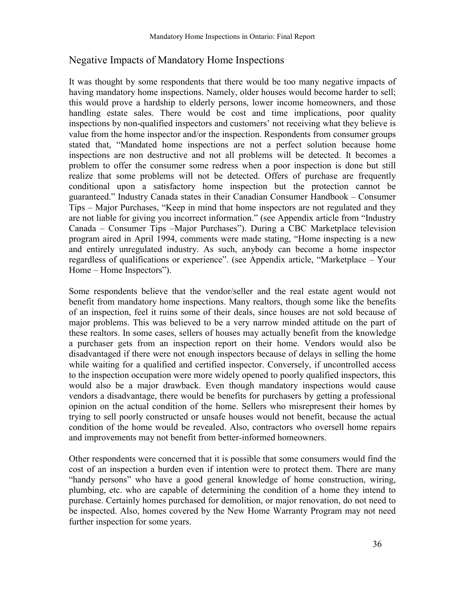### Negative Impacts of Mandatory Home Inspections

It was thought by some respondents that there would be too many negative impacts of having mandatory home inspections. Namely, older houses would become harder to sell; this would prove a hardship to elderly persons, lower income homeowners, and those handling estate sales. There would be cost and time implications, poor quality inspections by non-qualified inspectors and customers' not receiving what they believe is value from the home inspector and/or the inspection. Respondents from consumer groups stated that, "Mandated home inspections are not a perfect solution because home inspections are non destructive and not all problems will be detected. It becomes a problem to offer the consumer some redress when a poor inspection is done but still realize that some problems will not be detected. Offers of purchase are frequently conditional upon a satisfactory home inspection but the protection cannot be guaranteed." Industry Canada states in their Canadian Consumer Handbook – Consumer Tips – Major Purchases, "Keep in mind that home inspectors are not regulated and they are not liable for giving you incorrect information." (see Appendix article from "Industry Canada – Consumer Tips –Major Purchases"). During a CBC Marketplace television program aired in April 1994, comments were made stating, "Home inspecting is a new and entirely unregulated industry. As such, anybody can become a home inspector regardless of qualifications or experience". (see Appendix article, "Marketplace – Your Home – Home Inspectors").

Some respondents believe that the vendor/seller and the real estate agent would not benefit from mandatory home inspections. Many realtors, though some like the benefits of an inspection, feel it ruins some of their deals, since houses are not sold because of major problems. This was believed to be a very narrow minded attitude on the part of these realtors. In some cases, sellers of houses may actually benefit from the knowledge a purchaser gets from an inspection report on their home. Vendors would also be disadvantaged if there were not enough inspectors because of delays in selling the home while waiting for a qualified and certified inspector. Conversely, if uncontrolled access to the inspection occupation were more widely opened to poorly qualified inspectors, this would also be a major drawback. Even though mandatory inspections would cause vendors a disadvantage, there would be benefits for purchasers by getting a professional opinion on the actual condition of the home. Sellers who misrepresent their homes by trying to sell poorly constructed or unsafe houses would not benefit, because the actual condition of the home would be revealed. Also, contractors who oversell home repairs and improvements may not benefit from better-informed homeowners.

Other respondents were concerned that it is possible that some consumers would find the cost of an inspection a burden even if intention were to protect them. There are many "handy persons" who have a good general knowledge of home construction, wiring, plumbing, etc. who are capable of determining the condition of a home they intend to purchase. Certainly homes purchased for demolition, or major renovation, do not need to be inspected. Also, homes covered by the New Home Warranty Program may not need further inspection for some years.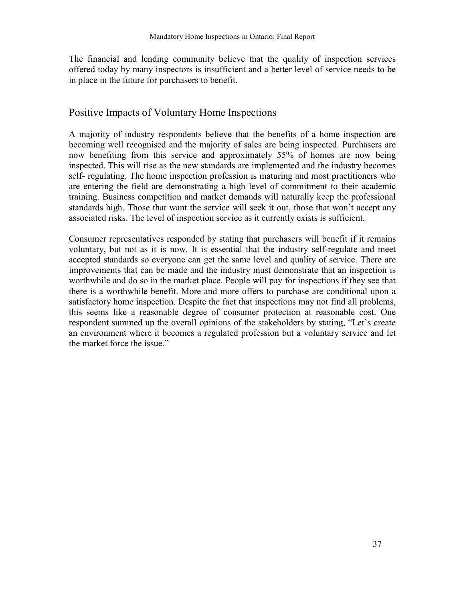The financial and lending community believe that the quality of inspection services offered today by many inspectors is insufficient and a better level of service needs to be in place in the future for purchasers to benefit.

### Positive Impacts of Voluntary Home Inspections

A majority of industry respondents believe that the benefits of a home inspection are becoming well recognised and the majority of sales are being inspected. Purchasers are now benefiting from this service and approximately 55% of homes are now being inspected. This will rise as the new standards are implemented and the industry becomes self- regulating. The home inspection profession is maturing and most practitioners who are entering the field are demonstrating a high level of commitment to their academic training. Business competition and market demands will naturally keep the professional standards high. Those that want the service will seek it out, those that won't accept any associated risks. The level of inspection service as it currently exists is sufficient.

Consumer representatives responded by stating that purchasers will benefit if it remains voluntary, but not as it is now. It is essential that the industry self-regulate and meet accepted standards so everyone can get the same level and quality of service. There are improvements that can be made and the industry must demonstrate that an inspection is worthwhile and do so in the market place. People will pay for inspections if they see that there is a worthwhile benefit. More and more offers to purchase are conditional upon a satisfactory home inspection. Despite the fact that inspections may not find all problems, this seems like a reasonable degree of consumer protection at reasonable cost. One respondent summed up the overall opinions of the stakeholders by stating, "Let's create an environment where it becomes a regulated profession but a voluntary service and let the market force the issue.<sup>"</sup>